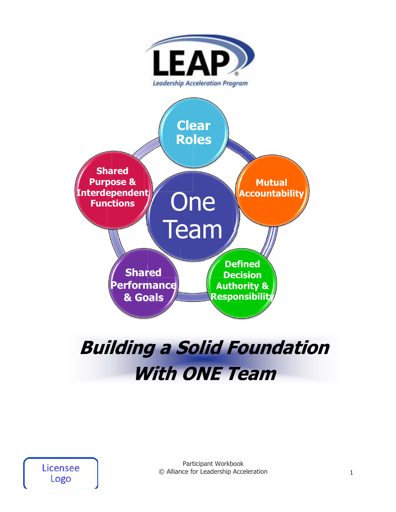

# **Building a Solid Foundation With ONE Team**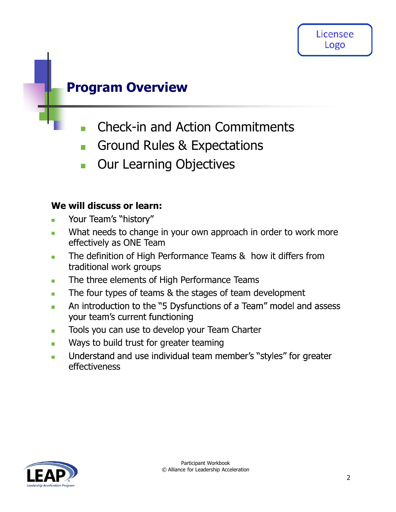### Program Overview

- Check-in and Action Commitments  $\overline{\phantom{a}}$
- Ground Rules & Expectations  $\overline{\mathcal{C}}$
- Our Learning Objectives  $\Box$

### We will discuss or learn:

- Your Team's "history"  $\mathbf{r}$
- What needs to change in your own approach in order to work more  $\mathcal{L}_{\mathcal{A}}$ effectively as ONE Team
- The definition of High Performance Teams & how it differs from  $\overline{\phantom{a}}$ traditional work groups
- The three elements of High Performance Teams  $\overline{\phantom{a}}$
- The four types of teams & the stages of team development  $\overline{\phantom{a}}$
- An introduction to the "5 Dysfunctions of a Team" model and assess  $\blacksquare$ your team's current functioning
- Tools you can use to develop your Team Charter m.
- Ways to build trust for greater teaming m.
- Understand and use individual team member's "styles" for greater  $\overline{\phantom{a}}$ effectiveness

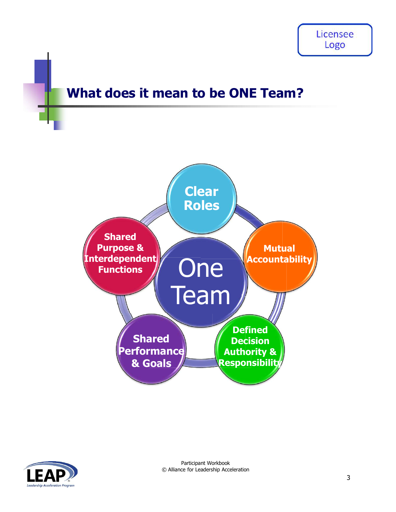### What does it mean to be ONE Team?



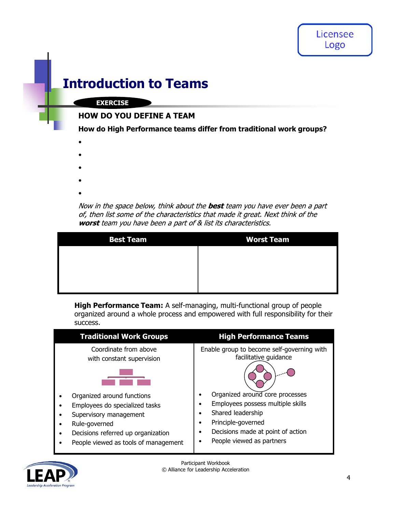### Introduction to Teams

#### EXERCISE

#### HOW DO YOU DEFINE A TEAM

- 
- 
- 
- 
- 

| <b>Introduction to Teams</b>                                   |                                                                                                                                                                       |
|----------------------------------------------------------------|-----------------------------------------------------------------------------------------------------------------------------------------------------------------------|
| <b>EXERCISE</b>                                                |                                                                                                                                                                       |
| <b>HOW DO YOU DEFINE A TEAM</b>                                |                                                                                                                                                                       |
|                                                                | How do High Performance teams differ from traditional work groups?                                                                                                    |
|                                                                |                                                                                                                                                                       |
|                                                                |                                                                                                                                                                       |
|                                                                |                                                                                                                                                                       |
|                                                                |                                                                                                                                                                       |
| worst team you have been a part of & list its characteristics. | Now in the space below, think about the <b>best</b> team you have ever been a part<br>of, then list some of the characteristics that made it great. Next think of the |
| <b>Best Team</b>                                               | <b>Worst Team</b>                                                                                                                                                     |
|                                                                |                                                                                                                                                                       |
|                                                                |                                                                                                                                                                       |
|                                                                |                                                                                                                                                                       |
| success.                                                       | High Performance Team: A self-managing, multi-functional group of people<br>organized around a whole process and empowered with full responsibility for their         |
| <b>Traditional Work Groups</b>                                 | <b>High Performance Teams</b>                                                                                                                                         |
| Coordinate from above                                          | Enable group to become self-governing with<br>facilitative guidance                                                                                                   |
| with constant supervision                                      |                                                                                                                                                                       |



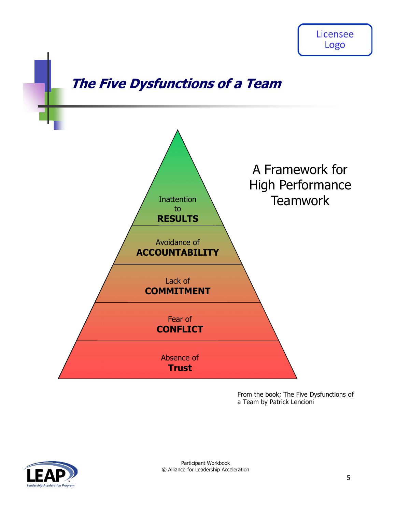

From the book; The Five Dysfunctions of a Team by Patrick Lencioni

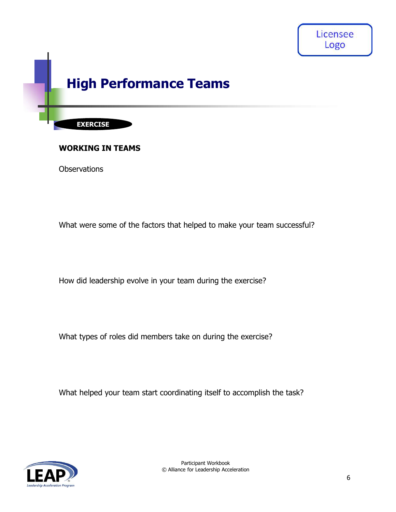

#### WORKING IN TEAMS

**Observations** 

What were some of the factors that helped to make your team successful?

How did leadership evolve in your team during the exercise?

What types of roles did members take on during the exercise?

What helped your team start coordinating itself to accomplish the task?

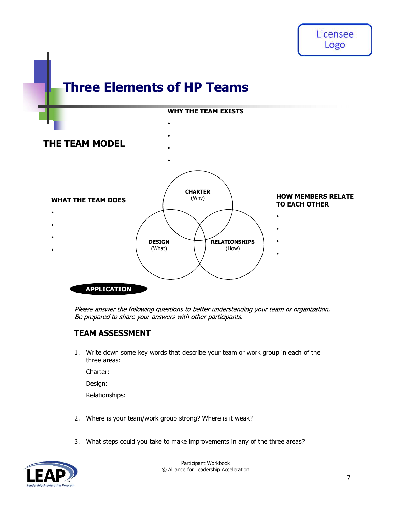## Three Elements of HP Teams



#### TEAM ASSESSMENT

three areas:

Charter:

Design:

Relationships:

- 
- 

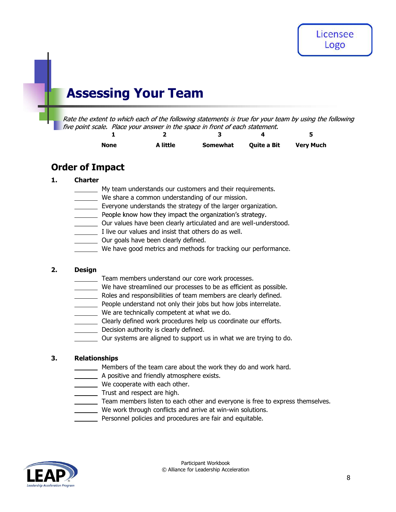## Assessing Your Team

ing Your Team<br>
vo which each of the following statements is true for your team by using the following<br>
1 Place your answer in the space in front of each statement.<br>
1 2<br> **a** intermediate a Bit Very Much<br>
act example a Bit Sing Your Team<br>
Sing Your Team<br>
Int to which each of the following statements is true for your team by using the following<br>
a le. Place your answer in the space in front of each statement.<br>
a little Somewhat Quite a Bit Ve **Assessing Your Team**<br>
Rate the extent to which each of the following statements is true for your team<br>
five point scale. Place your answer in the space in front of each statement.<br> **1.** Charter **Somewhat** Quite a Bit<br> **Or Example 19 and 19 and 19 and 19 and 19 and 19 and 19 and 19 and 19 and 19 and 19 and 19 and 19 and 19 and 19 and 19 and 19 and 19 and 19 and 19 and 19 and 19 and 19 and 19 and 19 and 19 and 19 and 19 and 19 and 19 and 19** 

| None | A little | <b>Somewhat</b> | <b>Ouite a Bit</b> | <b>Very Much</b> |
|------|----------|-----------------|--------------------|------------------|

### Order of Impact

- My team understands our customers and their requirements.
- We share a common understanding of our mission.
- Everyone understands the strategy of the larger organization.
- 
- Our values have been clearly articulated and are well-understood.
- I live our values and insist that others do as well.
- Our goals have been clearly defined.
- We have good metrics and methods for tracking our performance.

- Team members understand our core work processes.
- We have streamlined our processes to be as efficient as possible. My team understands our customers and their requirements.<br>
We share a common understanding of our mission.<br>
Everyone understands the strategy of the larger organization.<br>
People know how they impact the organization's stra
	- Roles and responsibilities of team members are clearly defined.
	- People understand not only their jobs but how jobs interrelate.
	- We are technically competent at what we do.
	- Clearly defined work procedures help us coordinate our efforts.
	- **Decision authority is clearly defined.** 
		- Our systems are aligned to support us in what we are trying to do.

- Members of the team care about the work they do and work hard.
- A positive and friendly atmosphere exists.
- We cooperate with each other.
- Trust and respect are high.
	- Team members listen to each other and everyone is free to express themselves.
- We work through conflicts and arrive at win-win solutions.
- Personnel policies and procedures are fair and equitable.

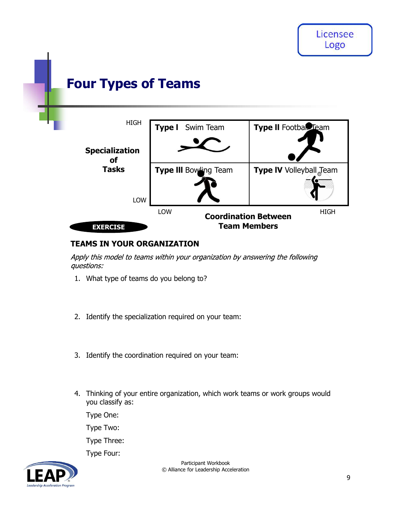

#### TEAMS IN YOUR ORGANIZATION

- 
- 
- 
- **EXERCISE<br>
TEAMS IN YOUR ORGANIZATION**<br>
Supply this model to teams within your organization by answering the following<br>
1. What type of teams do you belong to?<br>
2. Identify the specialization required on your team:<br>
3. Ide you classify as:

Type One:

Type Two:

Type Three:

Type Four:

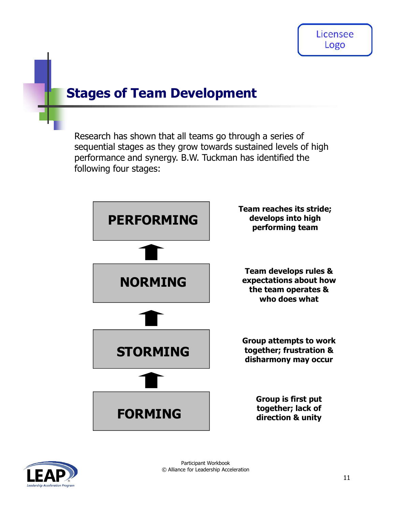### Stages of Team Development

Research has shown that all teams go through a series of sequential stages as they grow towards sustained levels of high performance and synergy. B.W. Tuckman has identified the following four stages:



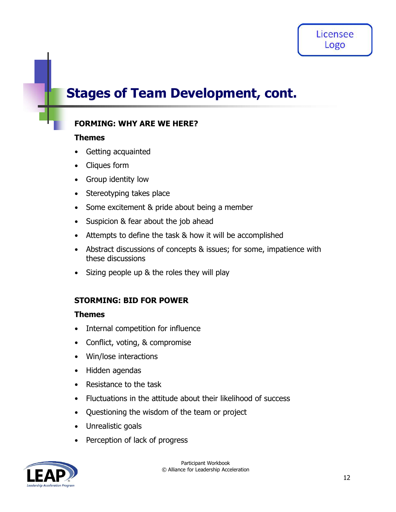### Stages of Team Development, cont.

### FORMING: WHY ARE WE HERE?

#### Themes

- Getting acquainted
- Cliques form
- Group identity low
- Stereotyping takes place
- Some excitement & pride about being a member
- Suspicion & fear about the job ahead
- Attempts to define the task & how it will be accomplished
- Abstract discussions of concepts & issues; for some, impatience with these discussions
- Sizing people up & the roles they will play

#### STORMING: BID FOR POWER

#### Themes

- Internal competition for influence
- Conflict, voting, & compromise
- Win/lose interactions
- Hidden agendas
- Resistance to the task
- Fluctuations in the attitude about their likelihood of success
- Questioning the wisdom of the team or project
- Unrealistic goals
- Perception of lack of progress

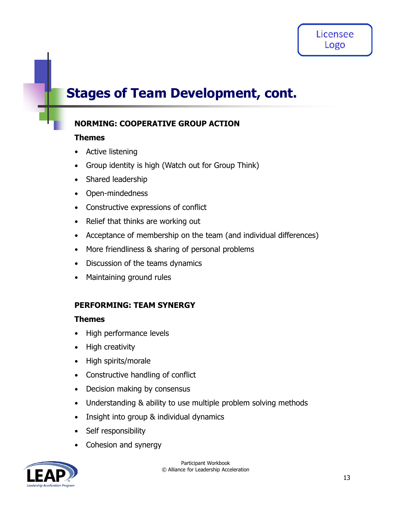## Stages of Team Development, cont.

### NORMING: COOPERATIVE GROUP ACTION

#### Themes

- Active listening
- Group identity is high (Watch out for Group Think)
- Shared leadership
- Open-mindedness
- Constructive expressions of conflict
- Relief that thinks are working out
- Acceptance of membership on the team (and individual differences)
- More friendliness & sharing of personal problems
- Discussion of the teams dynamics
- Maintaining ground rules

### PERFORMING: TEAM SYNERGY

#### Themes

- High performance levels
- High creativity
- High spirits/morale
- Constructive handling of conflict
- Decision making by consensus
- Understanding & ability to use multiple problem solving methods
- Insight into group & individual dynamics  $\bullet$
- Self responsibility
- Cohesion and synergy